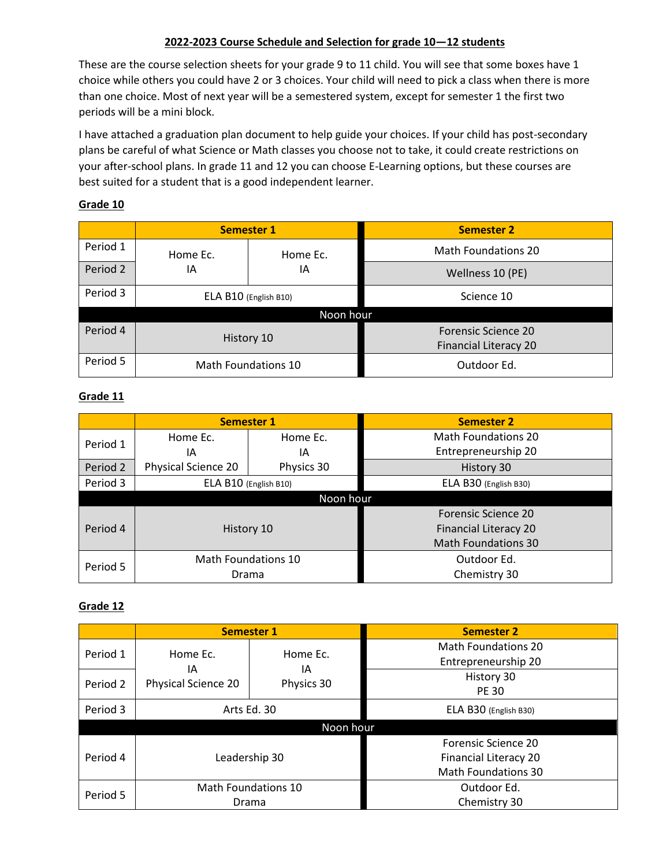### **2022-2023 Course Schedule and Selection for grade 10—12 students**

These are the course selection sheets for your grade 9 to 11 child. You will see that some boxes have 1 choice while others you could have 2 or 3 choices. Your child will need to pick a class when there is more than one choice. Most of next year will be a semestered system, except for semester 1 the first two periods will be a mini block.

I have attached a graduation plan document to help guide your choices. If your child has post-secondary plans be careful of what Science or Math classes you choose not to take, it could create restrictions on your after-school plans. In grade 11 and 12 you can choose E-Learning options, but these courses are best suited for a student that is a good independent learner.

### **Grade 10**

|          |                       | <b>Semester 1</b> | <b>Semester 2</b>                                          |  |  |  |
|----------|-----------------------|-------------------|------------------------------------------------------------|--|--|--|
| Period 1 | Home Ec.              | Home Ec.          | <b>Math Foundations 20</b>                                 |  |  |  |
| Period 2 | ١A                    | ΙA                | Wellness 10 (PE)                                           |  |  |  |
| Period 3 | ELA B10 (English B10) |                   | Science 10                                                 |  |  |  |
|          | Noon hour             |                   |                                                            |  |  |  |
| Period 4 | History 10            |                   | <b>Forensic Science 20</b><br><b>Financial Literacy 20</b> |  |  |  |
| Period 5 | Math Foundations 10   |                   | Outdoor Ed.                                                |  |  |  |

### **Grade 11**

|           | <b>Semester 1</b>          |            | <b>Semester 2</b>            |  |  |  |
|-----------|----------------------------|------------|------------------------------|--|--|--|
| Period 1  | Home Ec.                   | Home Ec.   | <b>Math Foundations 20</b>   |  |  |  |
|           | ΙA                         | ١A         | Entrepreneurship 20          |  |  |  |
| Period 2  | <b>Physical Science 20</b> | Physics 30 | History 30                   |  |  |  |
| Period 3  | ELA B10 (English B10)      |            | ELA B30 (English B30)        |  |  |  |
| Noon hour |                            |            |                              |  |  |  |
|           |                            |            | <b>Forensic Science 20</b>   |  |  |  |
| Period 4  | History 10                 |            | <b>Financial Literacy 20</b> |  |  |  |
|           |                            |            | <b>Math Foundations 30</b>   |  |  |  |
| Period 5  | Math Foundations 10        |            | Outdoor Ed.                  |  |  |  |
|           | Drama                      |            | Chemistry 30                 |  |  |  |

### **Grade 12**

|           | <b>Semester 1</b>         |                              | <b>Semester 2</b>                                                          |  |                            |
|-----------|---------------------------|------------------------------|----------------------------------------------------------------------------|--|----------------------------|
| Period 1  | Home Ec.                  | Home Ec.                     | <b>Math Foundations 20</b><br>Entrepreneurship 20                          |  |                            |
| Period 2  | ΙA<br>Physical Science 20 | ΙA<br>Physics 30             |                                                                            |  | History 30<br><b>PE 30</b> |
| Period 3  | Arts Ed. 30               |                              | ELA B30 (English B30)                                                      |  |                            |
| Noon hour |                           |                              |                                                                            |  |                            |
| Period 4  |                           | Leadership 30                | Forensic Science 20<br>Financial Literacy 20<br><b>Math Foundations 30</b> |  |                            |
| Period 5  |                           | Math Foundations 10<br>Drama | Outdoor Ed.<br>Chemistry 30                                                |  |                            |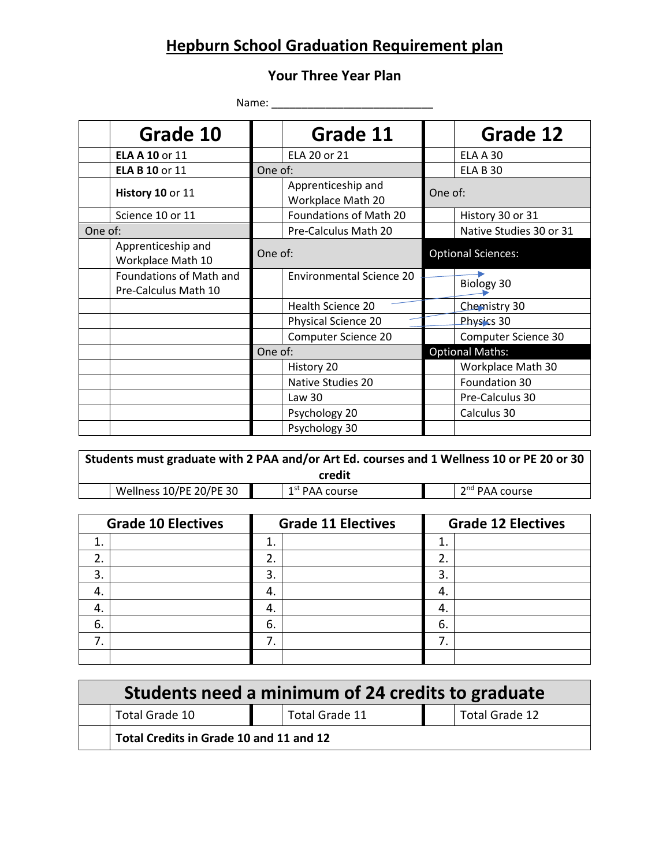## **Hepburn School Graduation Requirement plan**

### **Your Three Year Plan**

Name: \_\_\_\_\_\_\_\_\_\_\_\_\_\_\_\_\_\_\_\_\_\_\_\_\_\_\_

| Grade 10                                        |                                         | Grade 11                        |                           | Grade 12                |
|-------------------------------------------------|-----------------------------------------|---------------------------------|---------------------------|-------------------------|
| <b>ELA A 10 or 11</b>                           | ELA 20 or 21                            |                                 |                           | <b>ELA A 30</b>         |
| <b>ELA B 10 or 11</b>                           | One of:                                 |                                 |                           | <b>ELA B 30</b>         |
| History 10 or 11                                | Apprenticeship and<br>Workplace Math 20 |                                 | One of:                   |                         |
| Science 10 or 11                                |                                         | Foundations of Math 20          |                           | History 30 or 31        |
| One of:                                         |                                         | Pre-Calculus Math 20            |                           | Native Studies 30 or 31 |
| Apprenticeship and<br>Workplace Math 10         | One of:                                 |                                 | <b>Optional Sciences:</b> |                         |
| Foundations of Math and<br>Pre-Calculus Math 10 |                                         | <b>Environmental Science 20</b> |                           | Biology 30              |
|                                                 | Health Science 20                       |                                 |                           | Chemistry 30            |
|                                                 | Physical Science 20                     |                                 |                           | Physics 30              |
|                                                 |                                         | Computer Science 20             |                           | Computer Science 30     |
|                                                 | One of:                                 |                                 |                           | <b>Optional Maths:</b>  |
|                                                 | History 20                              |                                 |                           | Workplace Math 30       |
|                                                 | Native Studies 20                       |                                 |                           | Foundation 30           |
|                                                 | Law <sub>30</sub>                       |                                 |                           | Pre-Calculus 30         |
|                                                 | Psychology 20                           |                                 |                           | Calculus 30             |
|                                                 | Psychology 30                           |                                 |                           |                         |

**Students must graduate with 2 PAA and/or Art Ed. courses and 1 Wellness 10 or PE 20 or 30 credit**

|  | Wellness 10/PE 20/PE 30 |  |  |
|--|-------------------------|--|--|
|--|-------------------------|--|--|

 $1<sup>st</sup>$  PAA course

2<sup>nd</sup> PAA course

| <b>Grade 10 Electives</b> | <b>Grade 11 Electives</b> | <b>Grade 12 Electives</b> |  |
|---------------------------|---------------------------|---------------------------|--|
| 1.                        |                           |                           |  |
| 2.                        | 2.                        | 2.                        |  |
| 3.                        | 3.                        | 3.                        |  |
| 4.                        | 4.                        | 4.                        |  |
| 4.                        | 4.                        | 4.                        |  |
| 6.                        | 6.                        | 6.                        |  |
| 7.                        | 7                         |                           |  |
|                           |                           |                           |  |

| Students need a minimum of 24 credits to graduate |  |                |  |                |  |
|---------------------------------------------------|--|----------------|--|----------------|--|
| Total Grade 10                                    |  | Total Grade 11 |  | Total Grade 12 |  |
| Total Credits in Grade 10 and 11 and 12           |  |                |  |                |  |